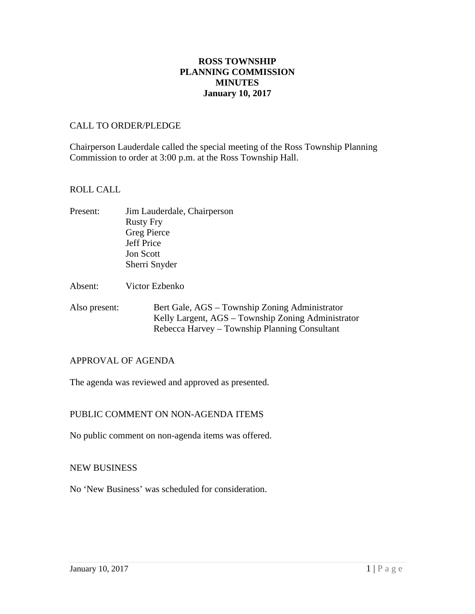## **ROSS TOWNSHIP PLANNING COMMISSION MINUTES January 10, 2017**

#### CALL TO ORDER/PLEDGE

Chairperson Lauderdale called the special meeting of the Ross Township Planning Commission to order at 3:00 p.m. at the Ross Township Hall.

### ROLL CALL

- Present: Jim Lauderdale, Chairperson Rusty Fry Greg Pierce Jeff Price Jon Scott Sherri Snyder
- Absent: Victor Ezbenko
- Also present: Bert Gale, AGS Township Zoning Administrator Kelly Largent, AGS – Township Zoning Administrator Rebecca Harvey – Township Planning Consultant

## APPROVAL OF AGENDA

The agenda was reviewed and approved as presented.

## PUBLIC COMMENT ON NON-AGENDA ITEMS

No public comment on non-agenda items was offered.

#### NEW BUSINESS

No 'New Business' was scheduled for consideration.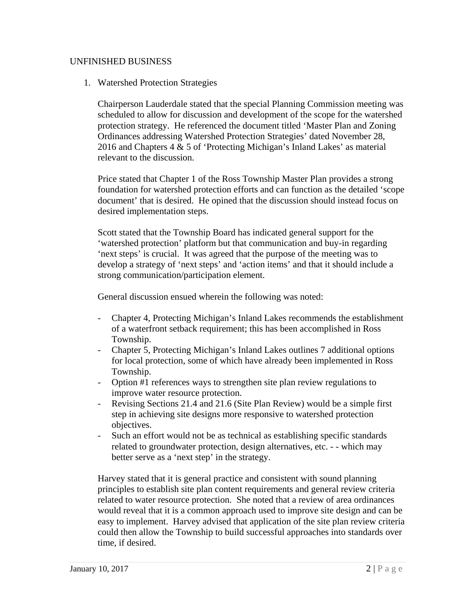### UNFINISHED BUSINESS

1. Watershed Protection Strategies

Chairperson Lauderdale stated that the special Planning Commission meeting was scheduled to allow for discussion and development of the scope for the watershed protection strategy. He referenced the document titled 'Master Plan and Zoning Ordinances addressing Watershed Protection Strategies' dated November 28, 2016 and Chapters 4 & 5 of 'Protecting Michigan's Inland Lakes' as material relevant to the discussion.

Price stated that Chapter 1 of the Ross Township Master Plan provides a strong foundation for watershed protection efforts and can function as the detailed 'scope document' that is desired. He opined that the discussion should instead focus on desired implementation steps.

Scott stated that the Township Board has indicated general support for the 'watershed protection' platform but that communication and buy-in regarding 'next steps' is crucial. It was agreed that the purpose of the meeting was to develop a strategy of 'next steps' and 'action items' and that it should include a strong communication/participation element.

General discussion ensued wherein the following was noted:

- Chapter 4, Protecting Michigan's Inland Lakes recommends the establishment of a waterfront setback requirement; this has been accomplished in Ross Township.
- Chapter 5, Protecting Michigan's Inland Lakes outlines 7 additional options for local protection, some of which have already been implemented in Ross Township.
- Option #1 references ways to strengthen site plan review regulations to improve water resource protection.
- Revising Sections 21.4 and 21.6 (Site Plan Review) would be a simple first step in achieving site designs more responsive to watershed protection objectives.
- Such an effort would not be as technical as establishing specific standards related to groundwater protection, design alternatives, etc. - - which may better serve as a 'next step' in the strategy.

Harvey stated that it is general practice and consistent with sound planning principles to establish site plan content requirements and general review criteria related to water resource protection. She noted that a review of area ordinances would reveal that it is a common approach used to improve site design and can be easy to implement. Harvey advised that application of the site plan review criteria could then allow the Township to build successful approaches into standards over time, if desired.